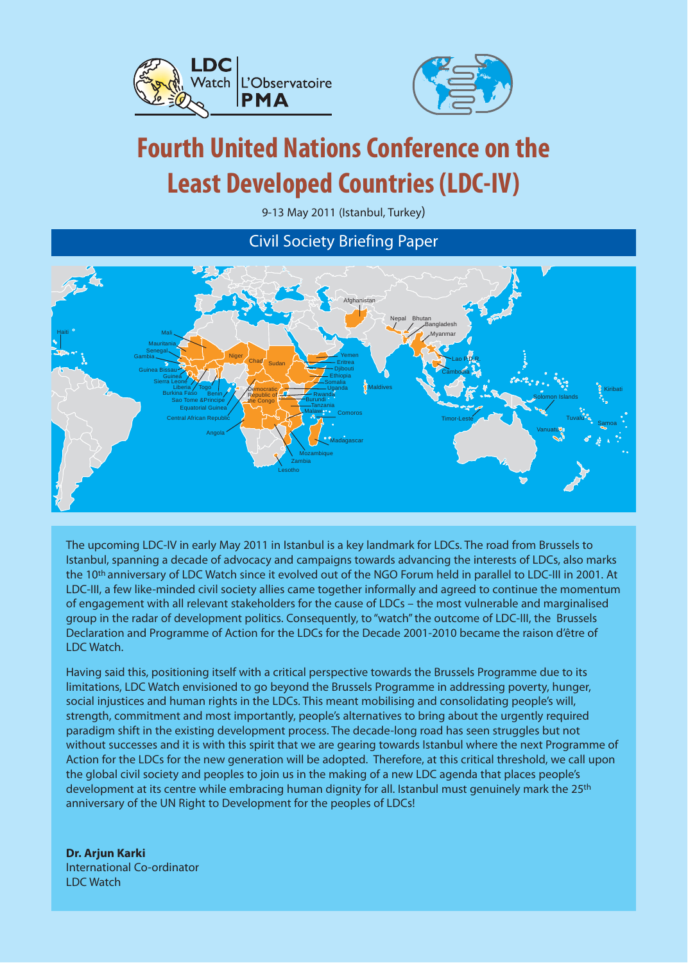



# **Fourth United Nations Conference on the Least Developed Countries (LDC-IV)**

9-13 May 2011 (Istanbul, Turkey)

Civil Society Briefing Paper



The upcoming LDC-IV in early May 2011 in Istanbul is a key landmark for LDCs. The road from Brussels to Istanbul, spanning a decade of advocacy and campaigns towards advancing the interests of LDCs, also marks the 10<sup>th</sup> anniversary of LDC Watch since it evolved out of the NGO Forum held in parallel to LDC-III in 2001. At LDC-III, a few like-minded civil society allies came together informally and agreed to continue the momentum of engagement with all relevant stakeholders for the cause of LDCs – the most vulnerable and marginalised group in the radar of development politics. Consequently, to "watch" the outcome of LDC-III, the Brussels Declaration and Programme of Action for the LDCs for the Decade 2001-2010 became the raison d'être of LDC Watch.

Having said this, positioning itself with a critical perspective towards the Brussels Programme due to its limitations, LDC Watch envisioned to go beyond the Brussels Programme in addressing poverty, hunger, social injustices and human rights in the LDCs. This meant mobilising and consolidating people's will, strength, commitment and most importantly, people's alternatives to bring about the urgently required paradigm shift in the existing development process. The decade-long road has seen struggles but not without successes and it is with this spirit that we are gearing towards Istanbul where the next Programme of Action for the LDCs for the new generation will be adopted. Therefore, at this critical threshold, we call upon the global civil society and peoples to join us in the making of a new LDC agenda that places people's development at its centre while embracing human dignity for all. Istanbul must genuinely mark the 25<sup>th</sup> anniversary of the UN Right to Development for the peoples of LDCs!

**Dr. Arjun Karki** International Co-ordinator LDC Watch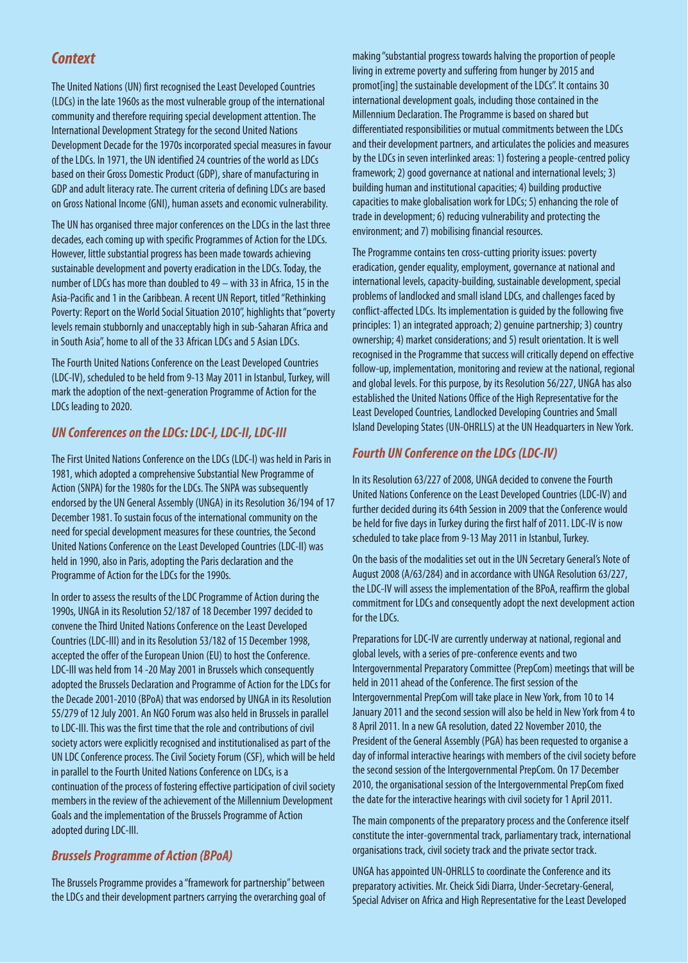# **Context**

The United Nations (UN) first recognised the Least Developed Countries (LDCs) in the late 1960s as the most vulnerable group of the international community and therefore requiring special development attention. The International Development Strategy for the second United Nations Development Decade for the 1970s incorporated special measures in favour of the LDCs. In 1971, the UN identified 24 countries of the world as LDCs based on their Gross Domestic Product (GDP), share of manufacturing in GDP and adult literacy rate. The current criteria of defining LDCs are based on Gross National Income (GNI), human assets and economic vulnerability.

The UN has organised three major conferences on the LDCs in the last three decades, each coming up with specific Programmes of Action for the LDCs. However, little substantial progress has been made towards achieving sustainable development and poverty eradication in the LDCs. Today, the number of LDCs has more than doubled to 49 – with 33 in Africa, 15 in the Asia-Pacific and 1 in the Caribbean. A recent UN Report, titled "Rethinking Poverty: Report on the World Social Situation 2010", highlights that "poverty levels remain stubbornly and unacceptably high in sub-Saharan Africa and in South Asia", home to all of the 33 African LDCs and 5 Asian LDCs.

The Fourth United Nations Conference on the Least Developed Countries (LDC-IV), scheduled to be held from 9-13 May 2011 in Istanbul, Turkey, will mark the adoption of the next-generation Programme of Action for the LDCs leading to 2020.

## **UN Conferences on the LDCs: LDC-I, LDC-II, LDC-III**

The First United Nations Conference on the LDCs (LDC-I) was held in Paris in 1981, which adopted a comprehensive Substantial New Programme of Action (SNPA) for the 1980s for the LDCs. The SNPA was subsequently endorsed by the UN General Assembly (UNGA) in its Resolution 36/194 of 17 December 1981. To sustain focus of the international community on the need for special development measures for these countries, the Second United Nations Conference on the Least Developed Countries (LDC-II) was held in 1990, also in Paris, adopting the Paris declaration and the Programme of Action for the LDCs for the 1990s.

In order to assess the results of the LDC Programme of Action during the 1990s, UNGA in its Resolution 52/187 of 18 December 1997 decided to convene the Third United Nations Conference on the Least Developed Countries (LDC-III) and in its Resolution 53/182 of 15 December 1998, accepted the offer of the European Union (EU) to host the Conference. LDC-III was held from 14 -20 May 2001 in Brussels which consequently adopted the Brussels Declaration and Programme of Action for the LDCs for the Decade 2001-2010 (BPoA) that was endorsed by UNGA in its Resolution 55/279 of 12 July 2001. An NGO Forum was also held in Brussels in parallel to LDC-III. This was the first time that the role and contributions of civil society actors were explicitly recognised and institutionalised as part of the UN LDC Conference process. The Civil Society Forum (CSF), which will be held in parallel to the Fourth United Nations Conference on LDCs, is a continuation of the process of fostering effective participation of civil society members in the review of the achievement of the Millennium Development Goals and the implementation of the Brussels Programme of Action adopted during LDC-III.

## **Brussels Programme of Action (BPoA)**

The Brussels Programme provides a "framework for partnership" between the LDCs and their development partners carrying the overarching goal of making "substantial progress towards halving the proportion of people living in extreme poverty and suffering from hunger by 2015 and promot[ing] the sustainable development of the LDCs". It contains 30 international development goals, including those contained in the Millennium Declaration. The Programme is based on shared but differentiated responsibilities or mutual commitments between the LDCs and their development partners, and articulates the policies and measures by the LDCs in seven interlinked areas: 1) fostering a people-centred policy framework; 2) good governance at national and international levels; 3) building human and institutional capacities; 4) building productive capacities to make globalisation work for LDCs; 5) enhancing the role of trade in development; 6) reducing vulnerability and protecting the environment; and 7) mobilising financial resources.

The Programme contains ten cross-cutting priority issues: poverty eradication, gender equality, employment, governance at national and international levels, capacity-building, sustainable development, special problems of landlocked and small island LDCs, and challenges faced by conflict-affected LDCs. Its implementation is guided by the following five principles: 1) an integrated approach; 2) genuine partnership; 3) country ownership; 4) market considerations; and 5) result orientation. It is well recognised in the Programme that success will critically depend on effective follow-up, implementation, monitoring and review at the national, regional and global levels. For this purpose, by its Resolution 56/227, UNGA has also established the United Nations Office of the High Representative for the Least Developed Countries, Landlocked Developing Countries and Small Island Developing States (UN-OHRLLS) at the UN Headquarters in New York.

## **Fourth UN Conference on the LDCs (LDC-IV)**

In its Resolution 63/227 of 2008, UNGA decided to convene the Fourth United Nations Conference on the Least Developed Countries (LDC-IV) and further decided during its 64th Session in 2009 that the Conference would be held for five days in Turkey during the first half of 2011. LDC-IV is now scheduled to take place from 9-13 May 2011 in Istanbul, Turkey.

On the basis of the modalities set out in the UN Secretary General's Note of August 2008 (A/63/284) and in accordance with UNGA Resolution 63/227, the LDC-IV will assess the implementation of the BPoA, reaffirm the global commitment for LDCs and consequently adopt the next development action for the LDCs.

Preparations for LDC-IV are currently underway at national, regional and global levels, with a series of pre-conference events and two Intergovernmental Preparatory Committee (PrepCom) meetings that will be held in 2011 ahead of the Conference. The first session of the Intergovernmental PrepCom will take place in New York, from 10 to 14 January 2011 and the second session will also be held in New York from 4 to 8 April 2011. In a new GA resolution, dated 22 November 2010, the President of the General Assembly (PGA) has been requested to organise a day of informal interactive hearings with members of the civil society before the second session of the Intergovernmental PrepCom. On 17 December 2010, the organisational session of the Intergovernmental PrepCom fixed the date for the interactive hearings with civil society for 1 April 2011.

The main components of the preparatory process and the Conference itself constitute the inter-governmental track, parliamentary track, international organisations track, civil society track and the private sector track.

UNGA has appointed UN-OHRLLS to coordinate the Conference and its preparatory activities. Mr. Cheick Sidi Diarra, Under-Secretary-General, Special Adviser on Africa and High Representative for the Least Developed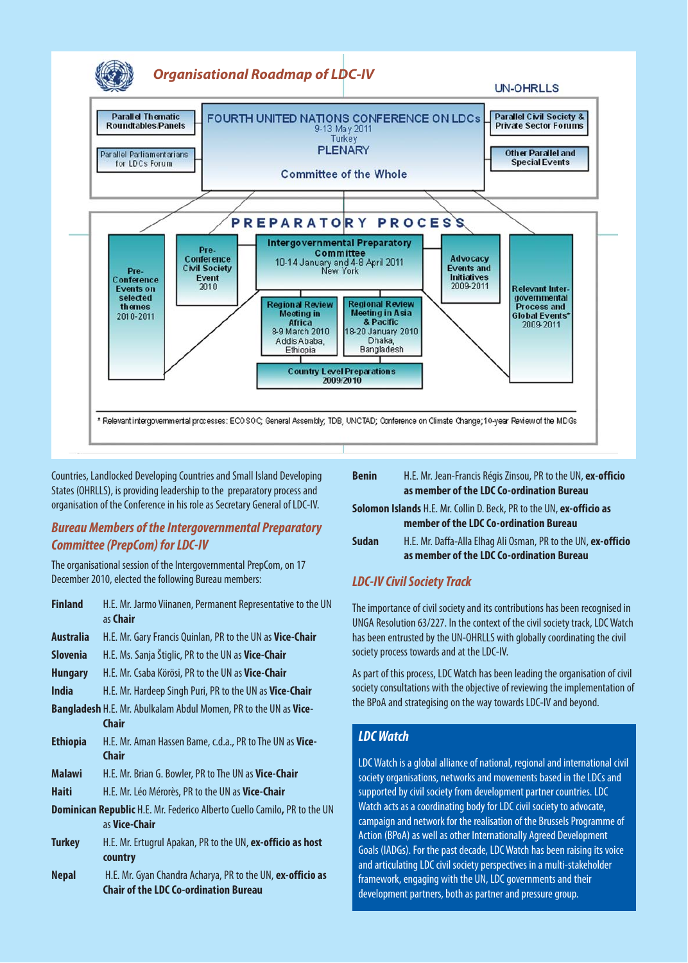

Countries, Landlocked Developing Countries and Small Island Developing States (OHRLLS), is providing leadership to the preparatory process and organisation of the Conference in his role as Secretary General of LDC-IV.

## **Bureau Members of the Intergovernmental Preparatory Committee (PrepCom) for LDC-IV**

The organisational session of the Intergovernmental PrepCom, on 17 December 2010, elected the following Bureau members:

| <b>Finland</b>                                                           | H.E. Mr. Jarmo Viinanen, Permanent Representative to the UN<br>as Chair |
|--------------------------------------------------------------------------|-------------------------------------------------------------------------|
|                                                                          |                                                                         |
| <b>Australia</b>                                                         | H.E. Mr. Gary Francis Quinlan, PR to the UN as Vice-Chair               |
| <b>Slovenia</b>                                                          | H.E. Ms. Sanja Štiglic, PR to the UN as Vice-Chair                      |
| <b>Hungary</b>                                                           | H.E. Mr. Csaba Körösi, PR to the UN as Vice-Chair                       |
| <b>India</b>                                                             | H.E. Mr. Hardeep Singh Puri, PR to the UN as Vice-Chair                 |
|                                                                          | Bangladesh H.E. Mr. Abulkalam Abdul Momen, PR to the UN as Vice-        |
|                                                                          | Chair                                                                   |
| <b>Ethiopia</b>                                                          | H.E. Mr. Aman Hassen Bame, c.d.a., PR to The UN as Vice-                |
|                                                                          | <b>Chair</b>                                                            |
| <b>Malawi</b>                                                            | H.E. Mr. Brian G. Bowler, PR to The UN as Vice-Chair                    |
| <b>Haiti</b>                                                             | H.E. Mr. Léo Mérorès, PR to the UN as Vice-Chair                        |
| Dominican Republic H.E. Mr. Federico Alberto Cuello Camilo, PR to the UN |                                                                         |
|                                                                          | as Vice-Chair                                                           |
| <b>Turkey</b>                                                            | H.E. Mr. Ertugrul Apakan, PR to the UN, ex-officio as host              |
|                                                                          | country                                                                 |
| <b>Nepal</b>                                                             | H.E. Mr. Gyan Chandra Acharya, PR to the UN, ex-officio as              |
|                                                                          | Chair of the LDC Co-ordination Bureau                                   |

| <b>Benin</b>                                                                                                          | H.E. Mr. Jean-Francis Régis Zinsou, PR to the UN, ex-officio<br>as member of the LDC Co-ordination Bureau  |
|-----------------------------------------------------------------------------------------------------------------------|------------------------------------------------------------------------------------------------------------|
| <b>Solomon Islands</b> H.E. Mr. Collin D. Beck, PR to the UN, ex-officio as<br>member of the LDC Co-ordination Bureau |                                                                                                            |
| <b>Sudan</b>                                                                                                          | H.E. Mr. Daffa-Alla Elhag Ali Osman, PR to the UN, ex-officio<br>as member of the LDC Co-ordination Bureau |

## **LDC-IV Civil Society Track**

The importance of civil society and its contributions has been recognised in UNGA Resolution 63/227. In the context of the civil society track, LDC Watch has been entrusted by the UN-OHRLLS with globally coordinating the civil society process towards and at the LDC-IV.

As part of this process, LDC Watch has been leading the organisation of civil society consultations with the objective of reviewing the implementation of the BPoA and strategising on the way towards LDC-IV and beyond.

## **LDC Watch**

LDC Watch is a global alliance of national, regional and international civil society organisations, networks and movements based in the LDCs and supported by civil society from development partner countries. LDC Watch acts as a coordinating body for LDC civil society to advocate, campaign and network for the realisation of the Brussels Programme of Action (BPoA) as well as other Internationally Agreed Development Goals (IADGs). For the past decade, LDC Watch has been raising its voice and articulating LDC civil society perspectives in a multi-stakeholder framework, engaging with the UN, LDC governments and their development partners, both as partner and pressure group.